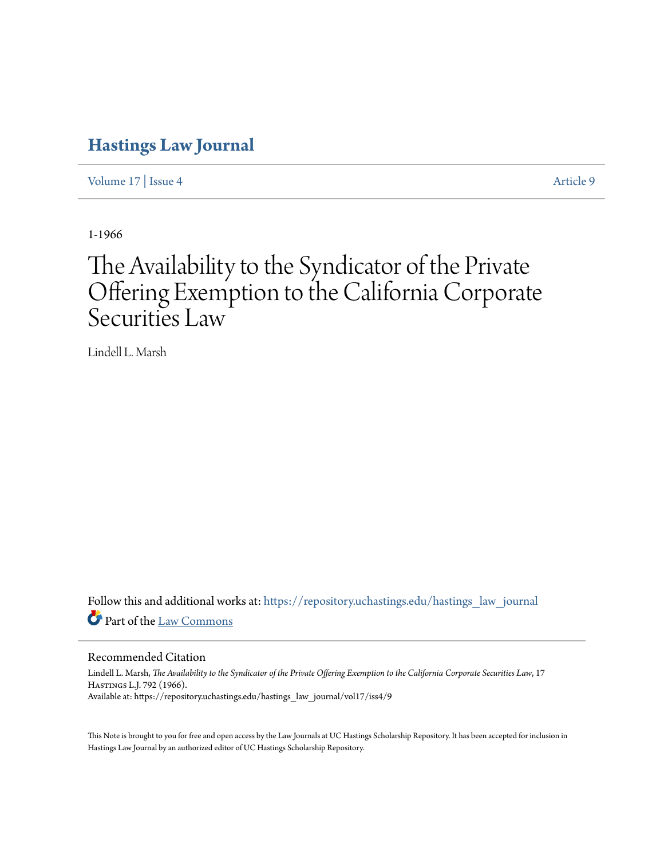## **[Hastings Law Journal](https://repository.uchastings.edu/hastings_law_journal?utm_source=repository.uchastings.edu%2Fhastings_law_journal%2Fvol17%2Fiss4%2F9&utm_medium=PDF&utm_campaign=PDFCoverPages)**

[Volume 17](https://repository.uchastings.edu/hastings_law_journal/vol17?utm_source=repository.uchastings.edu%2Fhastings_law_journal%2Fvol17%2Fiss4%2F9&utm_medium=PDF&utm_campaign=PDFCoverPages) | [Issue 4](https://repository.uchastings.edu/hastings_law_journal/vol17/iss4?utm_source=repository.uchastings.edu%2Fhastings_law_journal%2Fvol17%2Fiss4%2F9&utm_medium=PDF&utm_campaign=PDFCoverPages) [Article 9](https://repository.uchastings.edu/hastings_law_journal/vol17/iss4/9?utm_source=repository.uchastings.edu%2Fhastings_law_journal%2Fvol17%2Fiss4%2F9&utm_medium=PDF&utm_campaign=PDFCoverPages)

1-1966

# The Availability to the Syndicator of the Private Offering Exemption to the California Corporate Securities Law

Lindell L. Marsh

Follow this and additional works at: [https://repository.uchastings.edu/hastings\\_law\\_journal](https://repository.uchastings.edu/hastings_law_journal?utm_source=repository.uchastings.edu%2Fhastings_law_journal%2Fvol17%2Fiss4%2F9&utm_medium=PDF&utm_campaign=PDFCoverPages) Part of the [Law Commons](http://network.bepress.com/hgg/discipline/578?utm_source=repository.uchastings.edu%2Fhastings_law_journal%2Fvol17%2Fiss4%2F9&utm_medium=PDF&utm_campaign=PDFCoverPages)

Recommended Citation

Lindell L. Marsh, *The Availability to the Syndicator of the Private Offering Exemption to the California Corporate Securities Law*, 17 Hastings L.J. 792 (1966). Available at: https://repository.uchastings.edu/hastings\_law\_journal/vol17/iss4/9

This Note is brought to you for free and open access by the Law Journals at UC Hastings Scholarship Repository. It has been accepted for inclusion in Hastings Law Journal by an authorized editor of UC Hastings Scholarship Repository.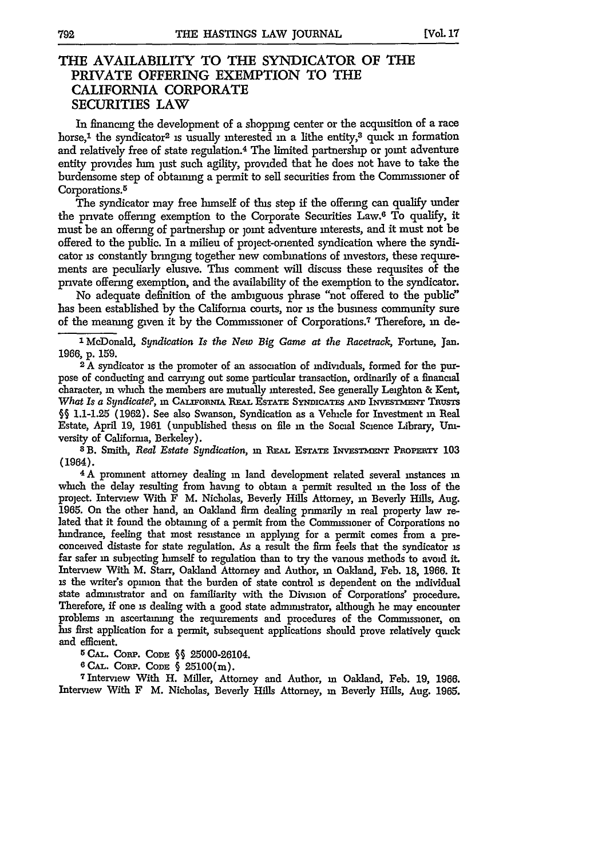### **THE AVAILABILITY TO THE SYNDICATOR OF THE PRIVATE OFFERING EXEMPTION TO THE CALIFORNIA CORPORATE SECURITIES LAW**

In financing the development of a shopping center or the acquisition of a race horse,<sup>1</sup> the syndicator<sup>2</sup> is usually interested in a lithe entity,<sup>3</sup> quick in formation and relatively free of state regulation.<sup>4</sup> The limited partnership or joint adventure entity provides him just such agility, provided that **he** does not have to take the burdensome step of obtaining a permit to sell securities from the Commissioner of Corporations.<sup>5</sup>

The syndicator may free himself of this step if the offering can qualify under the private offering exemption to the Corporate Securities Law.<sup>6</sup> To qualify, it must be an offering of partnership or joint adventure interests, and it must not be offered to the public. In a milieu of project-onented syndication where the syndicator is constantly bringing together new combinations of investors, these requirements are peculiarly elusive. This comment will discuss these requisites of the private offering exemption, and the availability of the exemption to the syndicator.

No adequate definition of the ambiguous phrase "not offered to the public" has been established by the Califorma courts, nor is the business community sure of the meaning given it **by** the Commissioner of Corporations.7 Therefore, **in** de-

**l** McDonald, *Syndication Is the New Big Game at the Racetrack,* Fortune, Jan. **1966,** p. 159.

2 A syndicator **is** the promoter of an association of individuals, formed for the purpose of conducting and carrying out some particular transaction, ordinarily of a financial character, **in** which the members are mutually interested. See generally Leighton & Kent, *What Is a Syndicate?*, in CALIFORNIA REAL ESTATE SYNDICATES AND INVESTMENT TRUSTS **§ 1.1-1.25** (1962). See also Swanson, Syndication as a Vehicle for Investment in Real Estate, April 19, 1961 (unpublished thesis on file **in** the Social Science Library, Uni-

versity of California, Berkeley). **<sup>8</sup>**B. Smith, *Real Estate Syndication,* **in** REAL ESTATE INVEsTmENT PaomrxTi **<sup>103</sup>** (1964).

**4** A prominent attorney dealing **in** land development related several instances **in** which the delay resulting from having to obtain a permit resulted in the loss of the project. Interview With F M. Nicholas, Beverly Hills Attorney, in Beverly Hills, Aug. 1965. On the other hand, an Oakland firm dealing primarily **in** real property law related that it found the obtaining of a permit from the Commissioner of Corporations no hindrance, feeling that most resistance in applying for a permit comes from a preconceived distaste for state regulation. As a result the firm feels that the syndicator **is** far safer in subjecting himself to regulation than to try the various methods to avoid it. Interview With M. Starr, Oakland Attorney and Author, **in** Oakland, Feb. **18,** 1966. It is the writer's opinon that the burden of state control is dependent on the individual state administrator and on familiarity with the Division of Corporations' procedure. Therefore, if one is dealing with a good state administrator, although he may encounter problems **in** ascertaining the requirements and procedures of the Commissioner, on his first application for a permit, subsequent applications should prove relatively quick and efficient.

**5 CAL.** CoRP. CODE **§§** 25000-26104.

**6 CAL. CORP. CODE § 25100(m).** 

71nterview With H. Miller, Attorney and Author, in Oakland, Feb. 19, **1966.** Interview With F M. Nicholas, Beverly Hills Attorney, **in** Beverly Hills, Aug. 1965.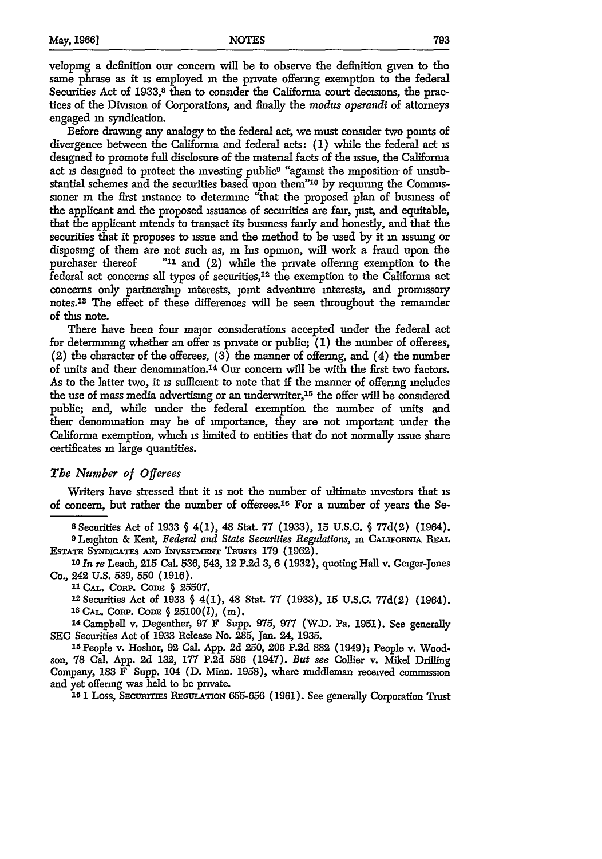veloping a definition our concern will be to observe the definition given to the same phrase as it is employed **in** the private offering exemption to the federal Securities Act of 1933,<sup>8</sup> then to consider the California court decisions, the practices of the Division of Corporations, and finally the *modus operandi* of attorneys engaged **in** syndication.

Before drawing any analogy to the federal act, we must consider two points of divergence between the California and federal acts: (1) while the federal act **is** designed to promote full disclosure of the material facts of the issue, the Califorma act is designed to protect the investing public<sup>9</sup> "against the imposition of unsubstantial schemes and the securities based upon them"<sup>10</sup> by requiring the Commissioner **in** the first instance to determine "that the proposed plan of business of the applicant and the proposed issuance of securities are fair, just, and equitable, that the applicant intends to transact its business fairly and honestly, and that the securities that it proposes to issue and the method to be used by it **in** issuing or disposing of them are not such as, in his opinion, will work a fraud upon the purchaser thereof **"11** and (2) while the private offering exemption to the federal act concerns all types of securities, $12$  the exemption to the Califorma act concerns only partnership interests, joint adventure interests, and promissory notes.<sup>13</sup> The effect of these differences will be seen throughout the remainder of this note.

There have been four major considerations accepted under the federal act for determining whether an offer **is** private or public; **(1)** the number of offerees, (2) the character of the offerees, **(3)** the manner of offering, and (4) the number of units and their denomination.14 Our concern will be with the first two factors. As to the latter two, it **is** sufficient to note that if the manner of offering includes the use of mass media advertising or an underwriter,<sup>15</sup> the offer will be considered public; and, while under the federal exemption the number of units and their denomination may be of importance, they are not important under the California exemption, which **is** limited to entities that do not normally issue share certificates in large quantities.

#### *The Number of Offerees*

Writers have stressed that it is not the number of ultimate investors that is of concern, but rather the number of offerees.<sup>16</sup> For a number of years the Se-

**<sup>8</sup>**Securities Act of 1933 § 4(1), 48 Stat. 77 (1933), 15 U.S.C. § 77d(2) (1964).

**9** Leighton & Kent, *Federal and State Securities Regulations,* **in CALwoiRN REAL** ESTATE SYNDICATES AND INVESTMENT TRUSTS 179 (1962).

**<sup>10</sup>***In re* Leach, **215** Cal. 536, 543, 12 **P.2d 3,** 6 (1932), quoting Hall v. Geiger-Jones Co., 242 U.S. 539, 550 (1916).

**1l** CAL. Corp. CODE § **25507.**

12 Securities Act of 1933 § 4(1), 48 Stat. **77** (1933), 15 U.S.C. 77d(2) (1964). **'s CAL.** CoRP. CODE § 25100(l), **(in).**

**<sup>14</sup>**Campbell v. Degenther, **97** F Supp. **975, 977** (W.D. Pa. **1951).** See generally **SEC** Securities Act of **1933** Release No. **285,** Jan. 24, **1935.**

15People v. Hoshor, 92 Cal. App. **2d 250, 206 P.2d 882** (1949); People v. Woodson, **78** Cal. App. **2d 132, 177 P.2d** 586 (1947). *But see* Collier v. Mikel Drilling Company, **183** F Supp. 104 **(D.** Minn. **1958),** where middleman received commission and yet offering was held to be private.

**161** Loss, SEcUmrrs **RE:GuLATioN** 655-656 (1961). See generally Corporation Trust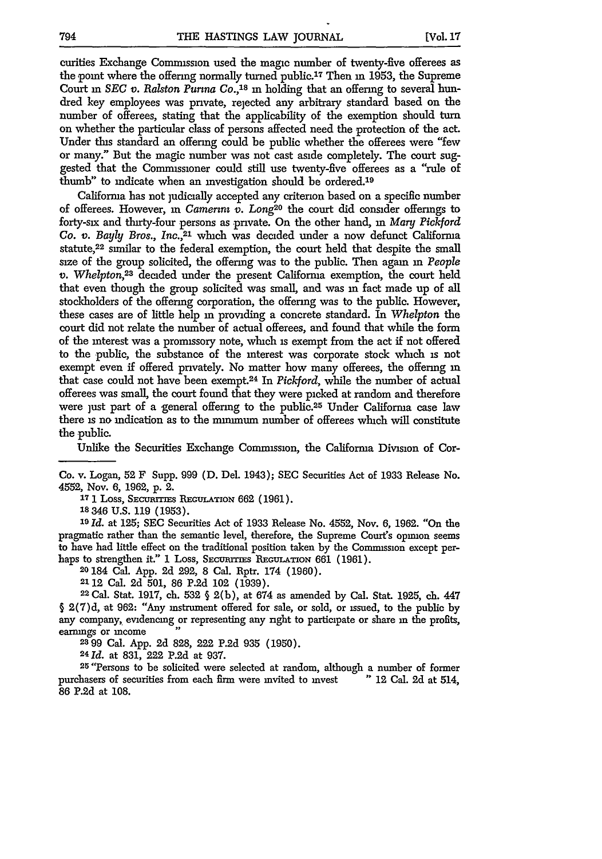curities Exchange Commission used the magic number of twenty-five offerees as the point where the offering normally turned public.<sup>17</sup> Then in 1953, the Supreme Court in *SEC v. Ralston Purina Co.*,<sup>18</sup> in holding that an offering to several hundred key employees was private, rejected any arbitrary standard based on the number of offerees, stating that the applicability of the exemption should turn on whether the particular class of persons affected need the protection of the act. Under this standard an offering could be public whether the offerees were "few or many." But the magic number was not cast aside completely. The court suggested that the Commissioner could still use twenty-five offerees as a "rule of thumb" to indicate when an investigation should be ordered.<sup>19</sup>

California has not judicially accepted any criterion based on a specific number of offerees. However, in *Camerini* v. Long<sup>20</sup> the court did consider offerings to forty-six and thirty-four persons as private. **On** the other hand, **in** *Mary Pickford Co. v. Bayly Bros., Inc.,21* which was decided under a now defunct California statute,<sup>22</sup> similar to the federal exemption, the court held that despite the small size of the group solicited, the offering was to the public. Then again **in** *People v. Whelpton,2s* decided under the present California exemption, the court held that even though the group solicited was small, and was in fact made up of all stockholders of the offering corporation, the offering was to the public. However, these cases are of little help **in** providing a concrete standard. In *Whelpton* the court did not relate the number of actual offerees, and found that while the form of the interest was a promissory note, which is exempt from the act if not offered to the public, the substance of the interest was corporate stock which is not exempt even if offered privately. No matter how many offerees, the offering **in** that case could not have been exempt. 24 In *Pickford,* while the number of actual offerees was small, the court found that they were picked at random and therefore were just part of a general offering to the public.<sup>25</sup> Under California case law there is no indication as to the minimum number of offerees which will constitute the public.

Unlike the Securities Exchange Commission, the California Division of Cor-

Co. v. Logan, 52 F Supp. 999 (D. Del. 1943); SEC Securities Act of 1933 Release No. 4552, Nov. **6,** 1962, p. 2.

**17** 1 Loss, **SEcurrIEs RE GuLATiox** 662 (1961).

**18346 U.S.** 119 (1953).

**<sup>19</sup>***Id.* at 125; SEC Securities Act of 1933 Release No. 4552, Nov. 6, 1962. "On the pragmatic rather than the semantic level, therefore, the Supreme Court's opinon seems to have had little effect on the traditional position taken by the Commission except perhaps to strengthen it." I Loss, SECURITIES REGULATION 661 (1961).

20 184 Cal. App. 2d 292, 8 Cal. Rptr. 174 (1960).

2112 Cal. **2d** 501, 86 P.2d 102 (1939).

**<sup>22</sup>**Cal. Stat. 1917, ch. 532 **§** 2(b), at 674 as amended by Cal. Stat. 1925, ch. 447 § 2(7)d, at 962: "Any instrument offered for sale, or sold, or issued, to the public by any company, evidencing or representing any nght to participate or share **in** the profits, earnings or income

**2399** Cal. App. 2d 828, 222 **P.2d** 935 **(1950).**

**<sup>24</sup>***Id.* at 831, 222 P.2d at 937.

<sup>25</sup> "Persons to be solicited were selected at random, although a number of former purchasers of securities from each firm were mvited to mvest "12 Cal. 2d at 514, 86 P.2d at 108.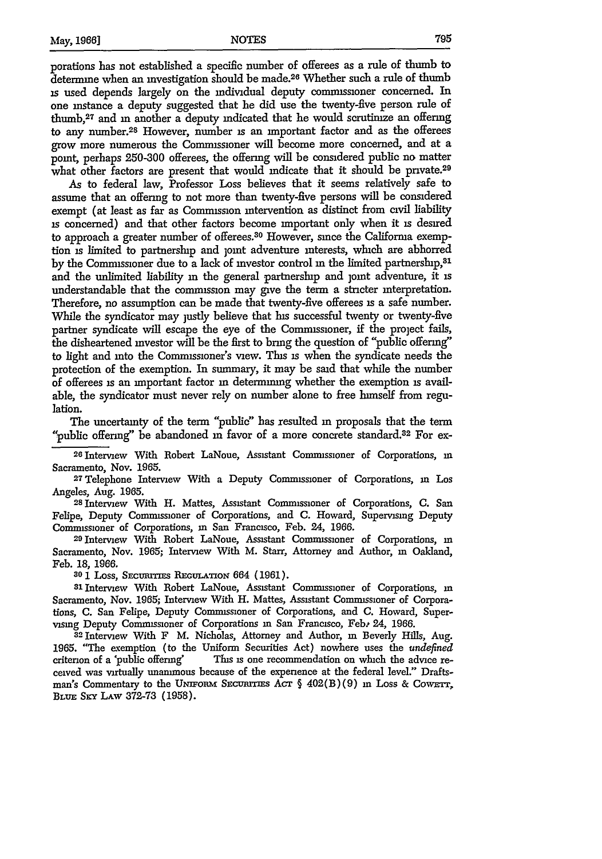porations has not established a specific number of offerees as a rule of thumb to determine when an investigation should be made.26 Whether such a rule of thumb is used depends largely on the individual deputy commissioner concerned. In one instance a deputy suggested that he did use the twenty-five person rule of thumb, 27 and **in** another a deputy indicated that he would scrutimze an offering to any number.<sup>28</sup> However, number is an important factor and as the offerees grow more numerous the Commissioner will become more concerned, and at a point, perhaps 250-300 offerees, the offering will be considered public no matter what other factors are present that would indicate that it should be private.<sup>29</sup>

As to federal law, Professor Loss believes that it seems relatively safe to assume that an offering to not more than twenty-five persons will be considered exempt (at least as far as Comnussion intervention as distinct from civil liability **is** concerned) and that other factors become important only when it is desired to approach a greater number of offerees.<sup>30</sup> However, since the California exemption is limited to partnership and joint adventure interests, which are abhorred by the Commissioner due to a lack of investor control **in** the limited partnership,<sup>31</sup> and the unlimited liability **in** the general partnership and joint adventure, it is understandable that the commission may give the term a stricter interpretation. Therefore, no assumption can be made that twenty-five offerees is a safe number. While the syndicator may justly believe that his successful twenty or twenty-five partner syndicate will escape the eye of the Commissioner, if the project fails, the disheartened investor will be the first to bring the question of "public offering" to light and into the Commissioner's view. This is when the syndicate needs the protection of the exemption. In summary, it may be said that while the number of offerees is an important factor in determining whether the exemption is available, the syndicator must never rely on number alone to free himself from regulation.

The uncertainty of the term "public" has resulted **in** proposals that the term "public offering" be abandoned **in** favor of a more concrete standard.8 2 For ex-

<sup>26</sup> Interview With Robert LaNoue, Assistant Commissioner of Corporations, in Sacramento, Nov. 1965.

**27 Telephone** Interview With a Deputy Commissioner of Corporations, **in** Los

Angeles, Aug. 1965. <sup>28</sup> Interview With H. Mattes, Assistant Commissioner of Corporations, **C.** San Felipe, Deputy Commissioner of Corporations, and **C.** Howard, Supervising Deputy Commissioner of Corporations, in San Francisco, Feb. 24, 1966.

**<sup>29</sup>**Interview With Robert LaNoue, Assistant Commissioner of Corporations, in Sacramento, Nov. **1965;** Interview With M. Starr, Attorney and Author, m Oakland, Feb. **18, 1966.**

**80 1 Loss, Securities Regulation 664 (1961).** 

3lInterview With Robert LaNoue, Assistant Commissioner of Corporations, in Sacramento, Nov. 1965; Interview With H. Mattes, Assistant Commissioner of Corporations, C. San Felipe, Deputy Commissioner of Corporations, and C. Howard, Supervismg Deputy Commissioner of Corporations **in** San Francisco, Febt 24, 1966.

**3 <sup>2</sup>**Interview With F M. Nicholas, Attorney and Author, **in** Beverly Hills, Aug. 1965. "The exemption (to the Uniform Securities Act) nowhere uses the *undefined* criterion of a 'public offering' This is one recommendation on which the advice received was virtually unanimous because of the experience at the federal level." Draftsman's Commentary to the UNIFORM SECURITIES ACT § 402(B)(9) in Loss & COWETT, BLUE Sxy LAW 372-73 (1958).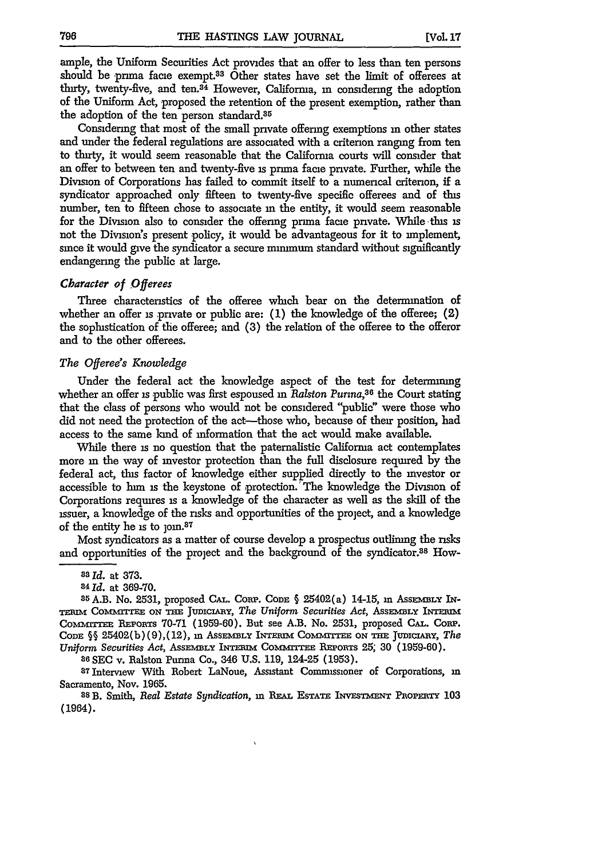ample, the Uniform Securities Act provides that an offer to less than ten persons should be prima facie exempt.<sup>33</sup> Other states have set the limit of offerees at thirty, twenty-five, and ten.34 However, California, **in** considering the adoption of the Uniform Act, proposed the retention of the present exemption, rather than the adoption of the ten person standard.<sup>35</sup>

Considering that most of the small private offering exemptions in other states and under the federal regulations are associated with a criterion ranging from ten to thirty, it would seem reasonable that the California courts will consider that an offer to between ten and twenty-five is prima facie private. Further, while the Division of Corporations has failed to commit itself to a numerical criterion, if a syndicator approached only fifteen to twenty-five specific offerees and of this number, ten to fifteen chose to associate in the entity, it would seem reasonable for the Division also to consider the offering prima face private. While this is not the Division's present policy, it would be advantageous for it to implement, since it would give the syndicator a secure minimum standard without significantly endangering the public at large.

#### *Character of Offerees*

Three characteristics of the offeree which bear on the determination of whether an offer is private or public are: **(1)** the knowledge of the offeree; **(2)** the sophistication of the offeree; and **(3)** the relation of the offeree to the offeror and to the other offerees.

#### *The Offeree's Knowledge*

Under the federal act the knowledge aspect of the test for determining whether an offer **is** public was first espoused **in** *Ralston Purina,386* the Court stating that the class of persons who would not be considered "public" were those who did not need the protection of the act—those who, because of their position, had access to the same land of information that the act would make available.

While there **is** no question that the paternalistic California act contemplates more in the way of investor protection than the full disclosure required by the federal act, this factor of knowledge either supplied directly to the investor or accessible to hun **is** the keystone of protection.'The knowledge the Division of Corporations requires is a knowledge of the character as well as the skill of the issuer, a knowledge of the risks and opportunities of the project, and a knowledge of the entity he is to  $\gamma$ oin.<sup>87</sup>

Most syndicators as a matter of course develop a prospectus outlining the risks and opportunities of the project and the background of the syndicator.88 How-

**<sup>86</sup>**SEC v. Ralston Purina Co., 346 U.S. 119, 124-25 (1953).

**87** Interview With Robert LaNoue, Assistant Commissioner of Corporations, **in** Sacramento, Nov. 1965.

**8s B.** Smith, *Real Estate Syndication,* **in** RPAL **EsrATE IvEsTmsr TorEiR r 103** (1964).

**as** *Id.* at **373.**

<sup>84</sup>*Id.* at 369-70.

<sup>85</sup> A.B. No. 2531, proposed CAL. CORP. CODE § 25402(a) 14-15, in Assembly IN-TERIM COMMITTEE ON THE JUDICIARY, *The Uniform Securities Act*, ASSEMBLY INTERIM Comrrmm **REPORTS** 70-71 (1959-60). But see A.B. No. 2531, proposed **CAL.** CORP. CODE  $\S$ § 25402(b)(9),(12), in ASSEMBLY INTERIM COMMITTEE ON THE JUDICIARY, *The Uniform Securities Act, ASSEMBLY INTERIM COMMITTEE REPORTS 25; 30 (1959-60).*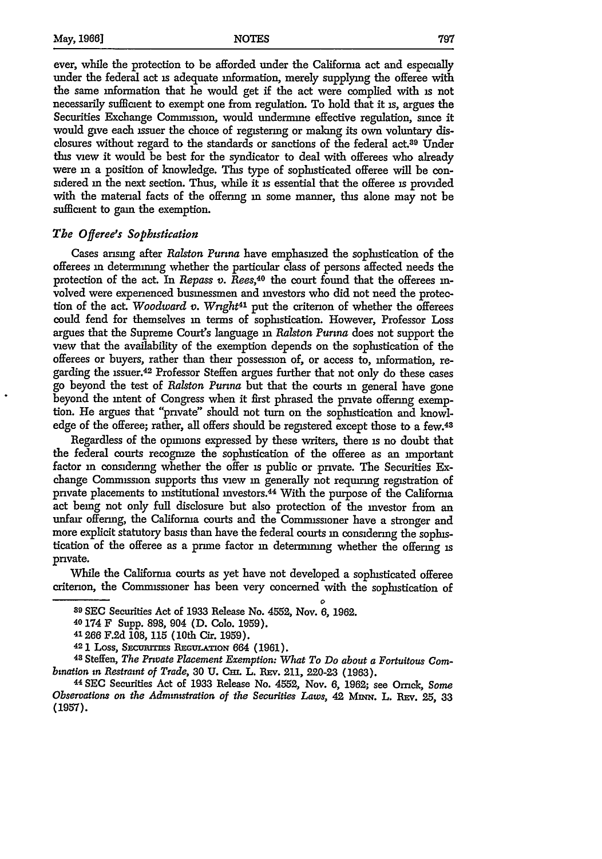ever, while the protection to be afforded under the California act and especially under the federal act is adequate information, merely supplying the offeree with the same information that he would get if the act were complied with **is** not necessarily sufficient to exempt one from regulation. To hold that it is, argues the Securities Exchange Commission, would undermine effective regulation, since it would give each issuer the choice of registering or making its own voluntary disclosures without regard to the standards or sanctions of the federal act.<sup>39</sup> Under this view it would be best for the syndicator to deal with offerees who already were **in** a position of knowledge. This type of sophisticated offeree will be considered **in** the next section. Thus, while it **is** essential that the offeree **is** provided with the material facts of the offering **in** some manner, this alone may not be sufficient to gain the exemption.

#### *The Offeree's Sophistication*

Cases arising after *Ralston Purina* have emphasized the sophistication of the offerees in determining whether the particular class of persons affected needs the protection of the act. In *Repass v. Rees,40* the court found that the offerees **in**volved were experienced businessmen and investors who did not need the protection of the act. *Woodward v. Wright<sup>41</sup>* put the criterion of whether the offerees could fend for themselves in terms of sophistication. However, Professor Loss argues that the Supreme Court's language **in** *Ralston Purina* does not support the view that the availability of the exemption depends on the sophistication of the offerees or buyers, rather than their possession of, or access to, information, regarding the issuer.42 Professor Steffen argues further that not only do these cases go beyond the test of *Ralston Purina* but that the courts **in** general have gone beyond the intent of Congress when it first phrased the private offering exemption. He argues that "private" should not turn on the sophistication and knowledge of the offeree; rather, all offers should be registered except those to a few.<sup>43</sup>

Regardless of the opinions expressed by these writers, there **is** no doubt that the federal courts recognize the sophistication of the offeree as an important factor **in** considering whether the offer **is** public or private. The Securities Exchange Commission supports this view **in** generally not requiring registration of private placements to institutional investors.<sup>44</sup> With the purpose of the California act being not only full disclosure but also protection of the investor from an unfair offering, the Califorma courts and the Commissioner have a stronger and more explicit statutory basis than have the federal courts **in** considermg the sophistication of the offeree as a prime factor **in** determining whether the offering **is** private.

While the Califorma courts as yet have not developed a sophisticated offeree criterion, the Commissioner has been very concerned with the sophistication of

**<sup>0</sup> 89 SEC** Securities Act of 1933 Release No. 4552, Nov. 6, 1962.

<sup>40 174</sup> F Supp. 898, 904 **(D.** Colo. 1959).

**<sup>41266</sup>** F.2d 108, 115 (10th Cir. **1959).**

<sup>&</sup>lt;sup>42</sup> 1 Loss, Securrites Regulation 664 (1961).<br><sup>43</sup> Steffen, *The Prwate Placement Exemption: What To Do about a Fortuitous Combination in Restraint of Trade,* 30 **U.** Cm. L. REv. 211, 220-23 **(1963).**

<sup>44</sup>**SEC** Securities Act of 1933 Release No. 4552, Nov. 6, 1962; see Orrick, *Some Observations on the Administration of the Securities Laws, 42 MINN. L. REV. 25, 33* (1957).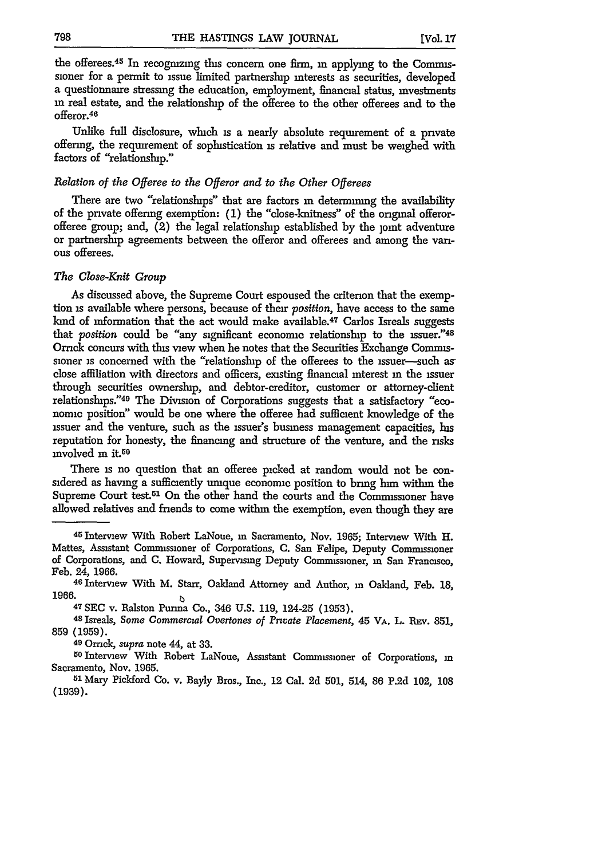the offerees.<sup>45</sup> In recognizing this concern one firm, in applying to the Commissioner for a permit to issue limited partnerslnp interests as securities, developed a questionnaire stressing the education, employment, financial status, mvestments **in** real estate, and the relationship of the offeree to the other offerees and to the offeror.<sup>46</sup>

Unlike full disclosure, which is a nearly absolute requirement of a private offering, the requirement of sophistication is relative and must be weighed with factors of "relationslup."

#### *Relation of the Offeree to the Offeror and to the Other Offerees*

There are two "relationslups" that are factors **in** determining the availability of the private offering exemption: (1) the "close-knitness" of the original offerorofferee group; and,  $(2)$  the legal relationship established by the joint adventure or partnership agreements between the offeror and offerees and among the vanous offerees.

#### *The Close-Knit Group*

As discussed above, the Supreme Court espoused the criterion that the exemption is available where persons, because of their *position,* have access to the same kind of information that the act would make available.<sup>47</sup> Carlos Isreals suggests that *position* could be "any significant economic relationship to the issuer."48 Orrck concurs with this view when he notes that the Securities Exchange Commissioner is concerned with the "relationship of the offerees to the issuer--such asclose affiliation with directors and officers, existing financial interest **in** the issuer through securities ownership, and debtor-creditor, customer or attorney-client relationships."<sup>49</sup> The Division of Corporations suggests that a satisfactory "economic position" would be one where the offeree had sufficient knowledge of the issuer and the venture, such as the issuer's business management capacities, his reputation for honesty, the financing and structure of the venture, and the risks  $involved$  m it.<sup>50</sup>

There **is** no question that an offeree picked at random would not be considered as having a sufficiently unique economic position to bring him within the Supreme Court test.<sup>51</sup> On the other hand the courts and the Commissioner have allowed relatives and friends to come within the exemption, even though they are

<sup>47</sup> SEC v. Ralston Purina Co., 346 U.S. 119, 124-25 (1953).<br><sup>48</sup> Isreals, *Some Commercial Overtones of Private Placement*, 45 VA. L. REV. 851, 859 (1959).

49 Ornck, *supra* note 44, at 33. **<sup>5</sup>**

**o** Interview With Robert LaNoue, Assistant Commissioner of Corporations, in Sacramento, Nov. 1965.

**<sup>51</sup>**Mary Pickford Co. v. Bayly Bros., Inc., 12 Cal. 2d 501, 514, 86 P.2d 102, **108 (1939).**

<sup>45</sup> Interview With Robert LaNoue, in Sacramento, Nov. 1965; Interview With H. Mattes, Assistant Commissioner of Corporations, C. San Felipe, Deputy Commissioner of Corporations, and C. Howard, Supervising Deputy Commissioner, in San Francisco, Feb. 24, 1966.

<sup>46</sup> Interview With M. Starr, Oakland Attorney and Author, **in** Oakland, Feb. 18, **1966.**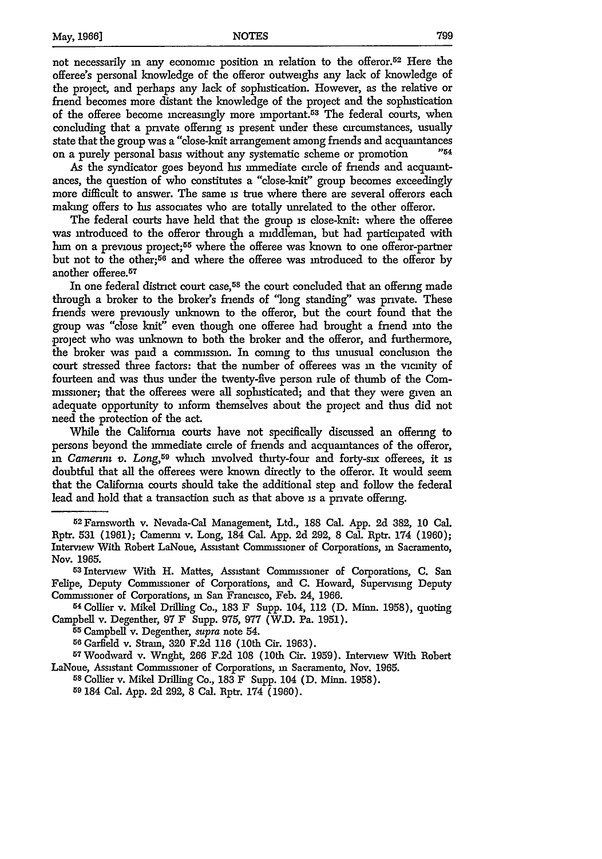not necessarily in any economic position in relation to the offeror.<sup>52</sup> Here the offeree's personal knowledge of the offeror outweighs any lack of knowledge of the project, and perhaps any lack of sophstication. However, as the relative or friend becomes more distant the knowledge of the project and the sophistication of the offeree become increasingly more important.<sup>53</sup> The federal courts, when concluding that a private offering is present under these circumstances, usually state that the group was a "close-knit arrangement among friends and acquaintances<br>on a purely personal basis without any systematic scheme or promotion  $^{254}$ on a purely personal basis without any systematic scheme or promotion

As the syndicator goes beyond his immediate circle of friends and acquaintances, the question of who constitutes a "close-knit" group becomes exceedingly more difficult to answer. The same **is** true where there are several offerors each making offers to his associates who are totally unrelated to the other offeror.

The federal courts have held that the group is close-knit: where the offeree was introduced to the offeror through a middleman, but had participated with him on a previous project;<sup>55</sup> where the offeree was known to one offeror-partner but not to the other;<sup>56</sup> and where the offeree was introduced to the offeror by another offeree.<sup>57</sup>

In one federal district court case,<sup>58</sup> the court concluded that an offering made through a broker to the broker's friends of "long standing" was private. These friends were previously unknown to the offeror, but the court found that the group was "close knit" even though one offeree had brought a friend into the project who was unknown to both the broker and the offeror, and furthermore, the broker was paid a commission. In coming to this unusual conclusion the court stressed three factors: that the number of offerees was **in** the vicinity of fourteen and was thus under the twenty-five person rule of thumb of the Commissioner; that the offerees were all sophisticated; and that they were given an adequate opportunity to inform themselves about the project and thus did not need the protection of the act.

While the Califorma courts have not specifically discussed an offering to persons beyond the immediate circle of friends and acquaintances of the offeror, **in** *Camenz v. Long,59* which involved thirty-four and forty-six offerees, it is doubtful that all the offerees were known directly to the offeror. It would seem that the California courts should take the additional step and follow the federal lead and hold that a transaction such as that above is a private offering.

<sup>5</sup> 2Famsworth v. Nevada-Cal Management, Ltd., 188 Cal. App. 2d 382, 10 Cal. Rptr. **531 (1961);** Camenni v. Long, 184 Cal. App. **2d 292,** 8 Cal. Rptr. 174 **(1960);** Interview With Robert LaNoue, Assistant Commissioner of Corporations, in Sacramento, Nov. 1965. <sup>53</sup> lnterview With H. Mattes, Assistant Commissioner of Corporations, C. San

Felipe, Deputy Commissioner of Corporations, and C. Howard, Supervising Deputy Commissioner of Corporations, in San Francisco, Feb. 24, 1966.<br><sup>54</sup> Collier v. Mikel Drilling Co., 183 F Supp. 104, 112 (D. Minn. 1958), quoting

Campbell v. Degenther, **97** F Supp. 975, 977 (W.D. Pa. 1951).

<sup>55</sup>Campbell v. Degenther, *supra* note 54.

**<sup>56</sup>** Garfield v. Strain, 320 F.2d **116** (10th Cir. 1963).

<sup>57</sup>Woodward v. Wright, **266 F.2d 108** (10th Cir. 1959). Interview With Robert LaNoue, Assistant Commissioner of Corporations, in Sacramento, Nov. 1965.

<sup>58</sup>Collier v. Mikel Drilling Co., **183** F Supp. 104 (D. Minn. 1958).

**<sup>59</sup>** 184 Cal. App. 2d 292, 8 Cal. Rptr. 174 (1960).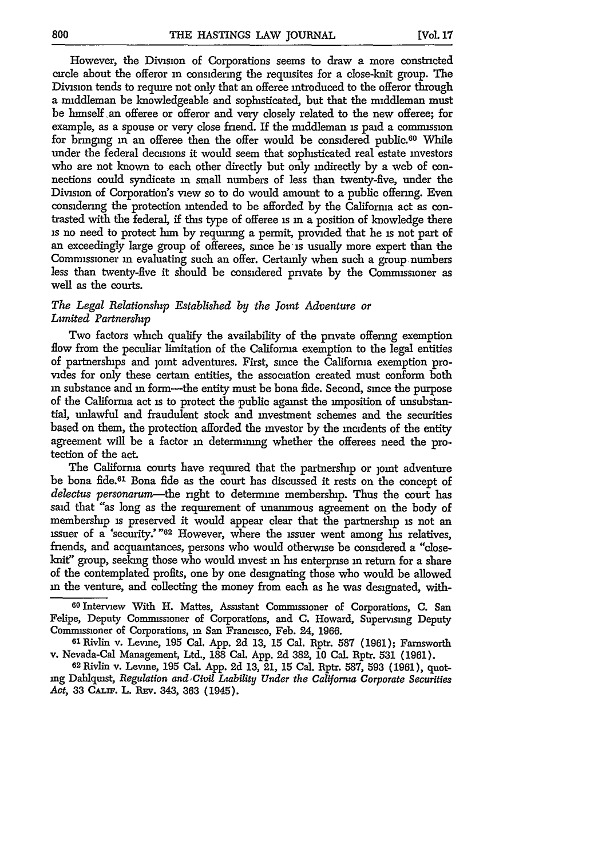However, the Division of Corporations seems to draw a more constricted circle about the offeror **in** considering the requisites for a close-knit group. The Division tends to require not only that an offeree introduced to the offeror through a middleman be knowledgeable and sophisticated, but that the middleman must be himself an offeree or offeror and very closely related to the new offeree; for example, as a spouse or very close friend. If the middleman is paid a commission for bringing in an offeree then the offer would be considered public.<sup>60</sup> While under the federal decisions it would seem that sophisticated real estate investors who are not known to each other directly but only indirectly **by** a web of connections could syndicate in small numbers of less than twenty-five, under the Division of Corporation's view so to do would amount to a public offering. Even considering the protection intended to be afforded by the California act as contrasted with the federal, if this type of offeree is **in** a position of knowledge there **is** no need to protect him by requiring a permit, provided that he **is** not part of an exceedingly large group of offerees, since he-is usually more expert than the Commissioner in evaluating such an offer. Certainly when such a group numbers less than twenty-five it should be considered private by the Commissioner as well as the courts.

#### *The Legal Relationship Established by the Joint Adventure or Limited Partnership*

Two factors which qualify the availability of the private offering exemption flow from the peculiar limitation of the California exemption to the legal entities of partnershups and ]omt adventures. First, since the Califorma exemption provides for only these certain entities, the association created must conform both in substance and in form-the entity must be bona fide. Second, since the purpose of the California act **is** to protect the public against the imposition of unsubstantial, unlawful and fraudulent stock and investment schemes and the securities based on them, the protection afforded the investor by the incidents of the entity agreement will be a factor **in** determining whether the offerees need the protection of the act.

The California courts have required that the partnership or joint adventure be bona fide.61 Bona fide as the court has discussed it rests on the concept of *delectus personarum-the* right to determine membership. Thus the court has said that "as long as the requirement of unanimous agreement on the body of membership **is** preserved it would appear clear that the partnership is not an issuer of a 'security.' "62 However, where the issuer went among his relatives, friends, and acquaintances, persons who would otherwise be considered a "closeknit" group, seeking those who would invest in his enterprise **in** return for a share of the contemplated profits, one by one designating those who would be allowed in the venture, and collecting the money from each as he was designated, with-

60 Interview With H. Mattes, Assistant Commissioner of Corporations, C. San Felipe, Deputy Commissioner of Corporations, and C. Howard, Supervising Deputy Commissioner of Corporations, in San Francisco, Feb. 24, 1966.

**<sup>61</sup>**Rivlin v. Levine, **195** Cal. App. **2d 13, 15** Cal. Rptr. 587 **(1961);** Farnsworth v. Nevada-Cal Management, Ltd., **188** Cal. App. 2d 382, **10** Cal. Rptr. **531 (1961).**

**62** Rivlin v. Levine, **195** Cal. App. 2d **13,** 21, **15** Cal. Rptr. 587, 593 **(1961),** quoting Dahlquist, *Regulation and Civil Liability Under the California Corporate Securities Act,* **33 CALiF.** L. **REv.** 343, **363** (1945).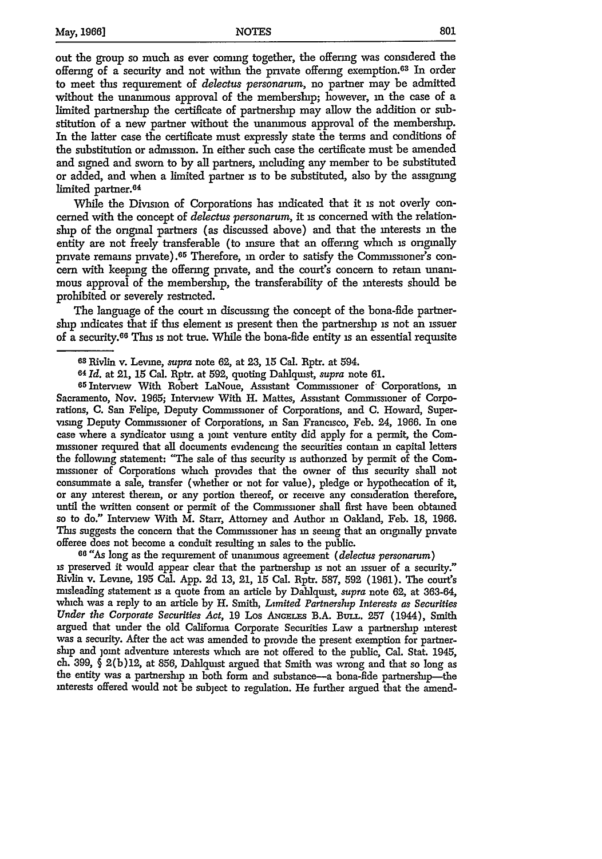out the group so much as ever coming together, the offering was considered the offering of a security and not within the private offering exemption.<sup>63</sup> In order to meet this requirement of *delectus personarum,* no partner may be admitted without the unanimous approval of the membership; however, in the case of a limited partnership the certificate of partnership may allow the addition or substitution of a new partner without the unammous approval of the membership. In the latter case the certificate must expressly state the terms and conditions of the substitution or admission. In either such case the certificate must be amended and signed and sworn to **by** all partners, including any member to be substituted or added, and when a limited partner is to be substituted, also by the assigning limited partner.<sup>64</sup>

While the Division of Corporations has indicated that it **is** not overly concerned with the concept of *delectus personarum,* it **is** concerned with the relationship of the original partners (as discussed above) and that the interests **in** the entity are not freely transferable (to insure that an offering which is originally private remains pnvate).65 Therefore, **in** order to satisfy the Commissioner's concern with keeping the offering private, and the court's concern to retain unammous approval of the membership, the transferability of the interests should be prohibited or severely restricted.

The language of the court **in** discussing the concept of the bona-fide partnerslup indicates that if this element **is** present then the partnership **is** not an issuer of a security.6 6 This **is** not true. While the bona-fide entity **is** an essential requisite

65Intervew With Robert LaNoue, Assistant Commissioner of Corporations, **in** Sacramento, Nov. 1965; Interview With H. Mattes, Assistant Commissioner of Corporations, C. San Felipe, Deputy Commissioner of Corporations, and **C.** Howard, Supervising Deputy Commissioner of Corporations, **in** San Francisco, Feb. 24, 1966. In one case where a syndicator using a joint venture entity did apply for a permit, the Commissioner required that all documents evidencing the securities contain **in** capital letters the followmg statement: "The sale of this security is authorized by permit of the Commissioner of Corporations which provides that the owner of this security shall not consummate a sale, transfer (whether or not for value), pledge or hypothecation of *it,* or any interest therein, or any portion thereof, or receive any consideration therefore, until the written consent or permit of the Commissioner shall first have been obtained so to do." Interview With M. Starr, Attorney and Author in Oakland, Feb. 18, 1966. This suggests the concern that the Commissioner has **in** seeing that an originally private offeree does not become a conduit resulting in sales to the public.

**66 "As** long as the requirement of unanimous agreement *(delectus personarum)* **is** preserved it would appear clear that the partnership **is** not an issuer of a security." Rivlin v. Levine, 195 Cal. App. **2d 13,** 21, 15 Cal. Rptr. 587, **592** (1961). The court's misleading statement **is** a quote from an article by Dahlquist, *supra* note 62, at 363-64, which was a reply to an article by H. Smith, *Limited Partnership Interests as Securities Under the Corporate Securities Act,* 19 Los **ANGELES** B.A. BurLL. **257** (1944), Smith argued that under the old Califorma Corporate Securities Law a partnership interest was a security. After the act was amended to provide the present exemption for partnership and joint adventure interests which are not offered to the public, Cal. Stat. 1945, ch. 399, § 2(b)12, at 856, Dahlquist argued that Smith was wrong and that so long as the entity was a partnership in both form and substance-a bona-fide partnership-the interests offered would not be subject to regulation. He further argued that the amend-

**<sup>63</sup>** Rivlin v. Levine, *supra* note 62, at **23,** 15 Cal. Rptr. at 594.

**<sup>64</sup>***Id.* at 21, 15 Cal. Rptr. at 592, quoting Dahlquist, *supra* note 61.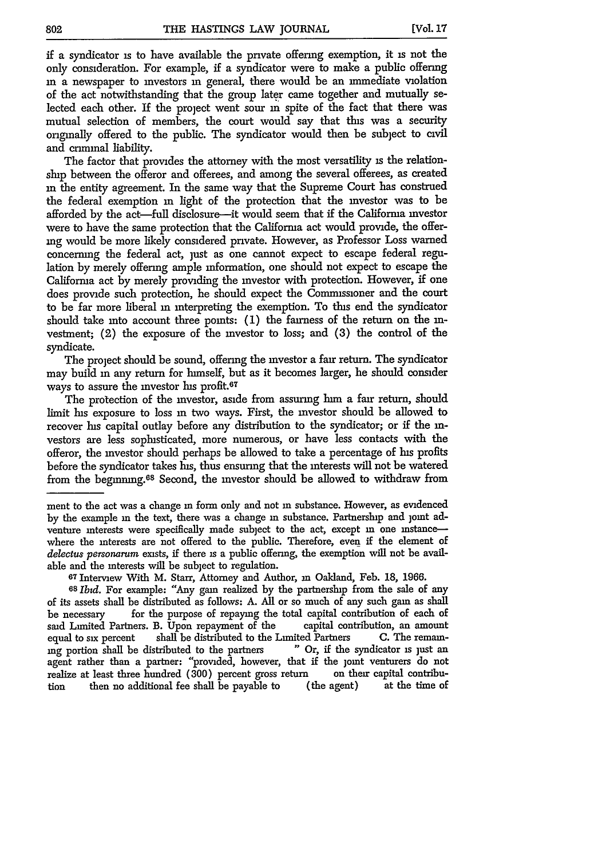if a syndicator is to have available the private offering exemption, it is not the only consideration. For example, if a syndicator were to make a public offering **in** a newspaper to investors **in** general, there would be an immediate violation of the act notwithstanding that the group later came together and mutually selected each other. If the project went sour **in** spite of the fact that there was mutual selection of members, the court would say that this was a security originally offered to the public. The syndicator would then be subject to civil and criminal liability.

The factor that provides the attorney with the most versatility is the relationship between the offeror and offerees, and among the several offerees, as created in the entity agreement. In the same way that the Supreme Court has construed the federal exemption **in** light of the protection that the investor was to be afforded **by** the act-full disclosure-it would seem that if the California investor were to have the same protection that the California act would provide, the offering would be more likely considered private. However, as Professor Loss warned concerning the federal act, just as one cannot expect to escape federal regulation by merely offering ample information, one should not expect to escape the Califorma act by merely providing the investor with protection. However, if one does provide such protection, he should expect the Commissioner and the court to be far more liberal in interpreting the exemption. To this end the syndicator should take into account three points: (1) the fairness of the return on the investment; (2) the exposure of the investor to loss; and (3) the control of the syndicate.

The project should be sound, offering the investor a fair return. The syndicator may build **in** any return for himself, but as it becomes larger, he should consider ways to assure the investor his profit.<sup>67</sup>

The protection of the investor, aside from assuring him a fair return, should limit **Ins** exposure to loss **in** two ways. First, the investor should be allowed to recover his capital outlay before any distribution to the syndicator; or if the **in**vestors are less sophisticated, more numerous, or have less contacts with the offeror, the investor should perhaps be allowed to take a percentage of his profits before the syndicator takes his, thus ensuring that the interests will not be watered from the begmmng.68 Second, the investor should be allowed to withdraw from

ment to the act was a change in form only and not in substance. However, as evidenced by the example in the text, there was a change in substance. Partnership and joint adventure interests were specifically made subject to the act, except in one instancewhere the interests are not offered to the public. Therefore, even if the element of *delectus personarum* exists, if there is a public offering, the exemption will not be available and the interests will be subject to regulation. **<sup>67</sup>**Interview With M. Starr, Attorney and Author, in Oakland, Feb. 18, 1966.

*<sup>68</sup>Ibtd.* For example: "Any gain realized by the partnership from the sale of any of its assets shall be distributed as follows: A. All or so much of any such gain as shall be necessary for the purpose of repaying the total capital contribution of each of said Limited Partners. B. Upon repayment of the capital contribution, an amount equal to six percent shall be distributed to the Limited Partners **C.** The remain-<br>ing portion shall be distributed to the partners **C.** The syndicator is just an ing portion shall be distributed to the partners agent rather than a partner: "provided, however, that if the joint venturers do not realize at least three hundred (300) percent gross return on their capital contribu-<br>tion then no additional fee shall be payable to (the agent) at the time of tion then no additional fee shall be payable to (the agent)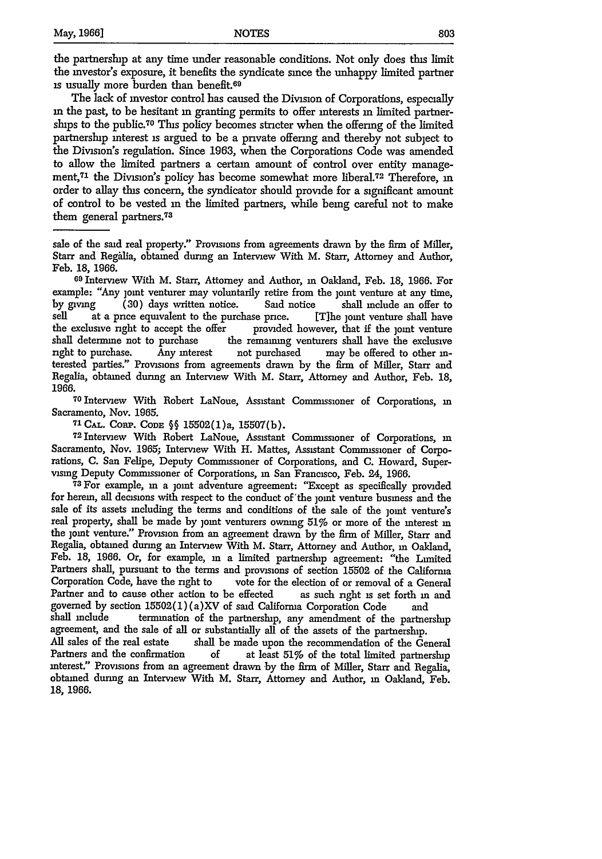the partnership at any time under reasonable conditions. Not only does this limit the investor's exposure, it benefits the syndicate since the unhappy limited partner is usually more burden than benefit.69

The lack of investor control has caused the Division of Corporations, especially **in** the past, to be hesitant **in** granting permits to offer interests **in** limited partnerships to the public.<sup>70</sup> This policy becomes stricter when the offering of the limited partnership interest is argued to be a private offering and thereby not subject to the Division's regulation. Since 1963, when the Corporations Code was amended to allow the limited partners a certain amount of control over entity management,71 the Division's policy has become somewhat more liberal.72 Therefore, **in** order to allay this concern, the syndicator should provide for a significant amount of control to be vested in the limited partners, while being careful not to make them general partners.<sup>73</sup>

sale of the said real property." Provisions from agreements drawn by the firm of Miller, Starr and Regalia, obtained during an Interview With M. Starr, Attorney and Author,

Feb. 18, 1966. **<sup>69</sup>**Interview With M. Starr, Attorney and Author, in Oakland, Feb. **18,** 1966. For example: "Any joint venturer may voluntarily retire from the joint venture at any time, by giving (30) days written notice. Said notice shall include an offer to sell at a price equivalent to the purchase price. [The joint venture shall have at a pnce equivalent to the purchase price. [T]he joint venture shall have the exclusive right to accept the offer provided however, that if the joint venture shall determine not to purchase the remaining venturers shall have the exclusive right to purchase. Any interest not purchased may be offered to other interested parties." Provisions from agreements drawn by the firm of Miller, Starr and Regalia, obtained during an Interview With M. Starr, Attorney and Author, Feb. 18, 1966.<br>1966.<br><sup>70</sup> Interview With Robert LaNoue, Assistant Commissioner of Corporations, in

Sacramento, Nov. 1965.

**71 CAL.** Conp. CODE §§ 15502(1)a, 15507(b).

72Interview With Robert LaNoue, Assistant Commissioner of Corporations, **in** Sacramento, Nov. 1965; Interview With H. Mattes, Assistant Commssioner of Corporations, C. San Felipe, Deputy Commissioner of Corporations, and C. Howard, Supervising Deputy Commissioner of Corporations, in San Francisco, Feb. 24, 1966.

**73** For example, **in** a joint adventure agreement: "Except as specifically provided for herein, all decisions with respect to the conduct of the joint venture business and the sale of its assets including the terms and conditions of the sale of the joint venture's real property, shall be made by joint venturers owning 51% or more of the interest in the joint venture." Provision from an agreement drawn by the firm of Miller, Starr and Regalia, obtained during an Interview With M. Starr, Attorney and Author, in Oakland, Feb. 18, 1966. Or, for example, **in** a limited partnership agreement: "the Limited Partners shall, pursuant to the terms and provisions of section 15502 of the Califorma Corporation Code, have the right to vote for the election of or removal of a General Partner and to cause other action to be effected as such right is set forth **in** and governed by section 15502(1) (a)XV of said Califorma Corporation Code and

shall include termination of the partnership, any amendment of the partnership agreement, and the sale of all or substantially all of the assets of the partnership.

All sales of the real estate shall be made upon the recommendation of the General Partners and the confirmation of at least 51% of the total limited partnership interest." Provisions from an agreement drawn by the firm of Miller, Starr and Regalia, obtained during an Interview With M. Starr, Attorney and Author, **in** Oakland, Feb. **18,** 1966.